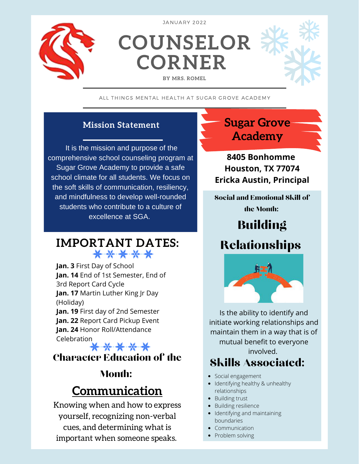

JANUARY 2022

**COUNSELOR CORNER**

#### **BY MRS. ROMEL**

ALL THINGS MENTAL HEALTH AT SUGAR GROVE ACADEMY

#### **Mission Statement**

It is the mission and purpose of the comprehensive school counseling program at Sugar Grove Academy to provide a safe school climate for all students. We focus on the soft skills of communication, resiliency, and mindfulness to develop well-rounded students who contribute to a culture of excellence at SGA.

# **IMPORTANT DATES:**

**Jan. 3** First Day of School **Jan. 14** End of 1st Semester, End of 3rd Report Card Cycle **Jan. 17** Martin Luther King Jr Day (Holiday) **Jan. 19** First day of 2nd Semester **Jan. 22** Report Card Pickup Event **Jan. 24** Honor Roll/Attendance Celebration<br>本<del>美文</del>

#### Character Education of the

#### Month:

# **Communication**

Knowing when and how to express yourself, recognizing non-verbal cues, and determining what is important when someone speaks.

**Sugar Grove Academy**

**8405 Bonhomme Houston, TX 77074 Ericka Austin, Principal**

Social and Emotional Skill of the Month:

Building

### Relationships



Is the ability to identify and initiate working relationships and maintain them in a way that is of mutual benefit to everyone involved.

#### Skills Associated:

- Social engagement
- Identifying healthy & unhealthy relationships
- Building trust
- Building resilience
- Identifying and maintaining boundaries
- Communication
- Problem solving